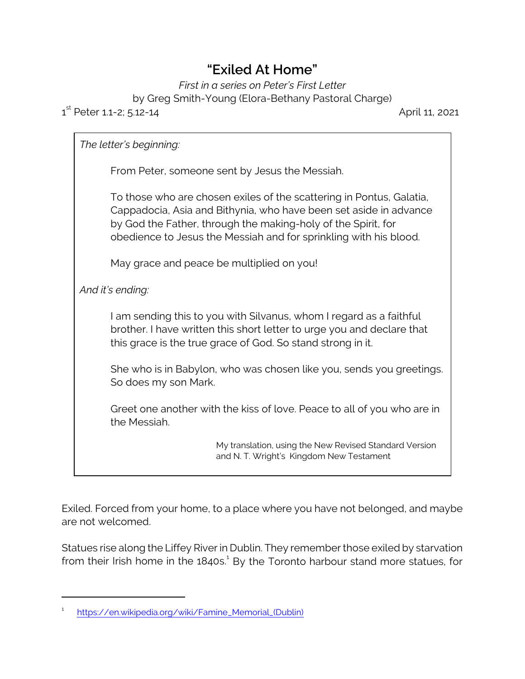## **"Exiled At Home"**

*First in a series on Peter's First Letter*

by Greg Smith-Young (Elora-Bethany Pastoral Charge)

## 1 st Peter 1.1-2; 5.12-14 April 11, 2021

*The letter's beginning:* From Peter, someone sent by Jesus the Messiah. To those who are chosen exiles of the scattering in Pontus, Galatia, Cappadocia, Asia and Bithynia, who have been set aside in advance by God the Father, through the making-holy of the Spirit, for obedience to Jesus the Messiah and for sprinkling with his blood. May grace and peace be multiplied on you! *And it's ending:* I am sending this to you with Silvanus, whom I regard as a faithful brother. I have written this short letter to urge you and declare that this grace is the true grace of God. So stand strong in it. She who is in Babylon, who was chosen like you, sends you greetings. So does my son Mark. Greet one another with the kiss of love. Peace to all of you who are in the Messiah. My translation, using the New Revised Standard Version and N. T. Wright's Kingdom New Testament

Exiled. Forced from your home, to a place where you have not belonged, and maybe are not welcomed.

Statues rise along the Liffey River in Dublin. They remember those exiled by starvation from their Irish home in the 1840s.<sup>1</sup> By the Toronto harbour stand more statues, for

<sup>1</sup> [https://en.wikipedia.org/wiki/Famine\\_Memorial\\_\(Dublin\)](https://en.wikipedia.org/wiki/Famine_Memorial_(Dublin))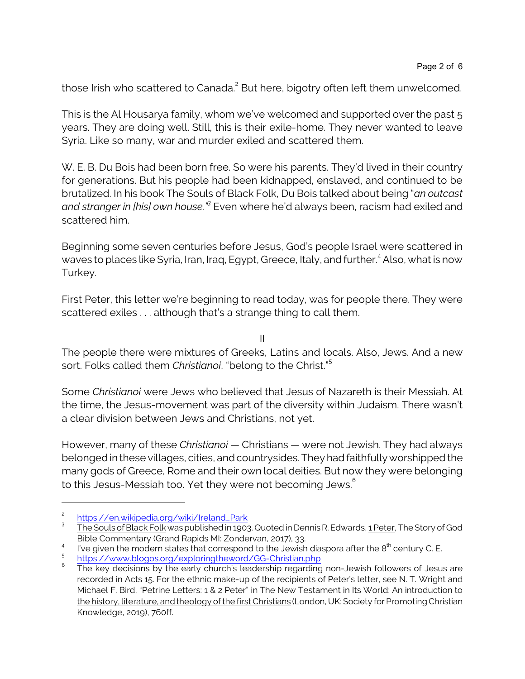those Irish who scattered to Canada.<sup>2</sup> But here, bigotry often left them unwelcomed.

This is the Al Housarya family, whom we've welcomed and supported over the past 5 years. They are doing well. Still, this is their exile-home. They never wanted to leave Syria. Like so many, war and murder exiled and scattered them.

W. E. B. Du Bois had been born free. So were his parents. They'd lived in their country for generations. But his people had been kidnapped, enslaved, and continued to be brutalized. In his book The Souls of Black Folk, Du Bois talked about being "*an outcast and stranger in [his] own house."<sup>3</sup> Even where he'd always been, racism had exiled and* scattered him.

Beginning some seven centuries before Jesus, God's people Israel were scattered in waves to places like Syria, Iran, Iraq, Egypt, Greece, Italy, and further.<sup>4</sup> Also, what is now Turkey.

First Peter, this letter we're beginning to read today, was for people there. They were scattered exiles . . . although that's a strange thing to call them.

II

The people there were mixtures of Greeks, Latins and locals. Also, Jews. And a new sort. Folks called them *Christianoi*, "belong to the Christ."<sup>5</sup>

Some *Christianoi* were Jews who believed that Jesus of Nazareth is their Messiah. At the time, the Jesus-movement was part of the diversity within Judaism. There wasn't a clear division between Jews and Christians, not yet.

However, many of these *Christianoi* — Christians — were not Jewish. They had always belonged in these villages, cities, and countrysides. They had faithfully worshipped the many gods of Greece, Rome and their own local deities. But now they were belonging to this Jesus-Messiah too. Yet they were not becoming Jews.<sup>6</sup>

<sup>2</sup> [https://en.wikipedia.org/wiki/Ireland\\_Park](https://en.wikipedia.org/wiki/Ireland_Park)

<sup>3</sup> The Souls of Black Folk was published in 1903. Quoted in Dennis R. Edwards, 1 Peter, The Story of God Bible Commentary (Grand Rapids MI: Zondervan, 2017), 33.

<sup>4</sup> I've given the modern states that correspond to the Jewish diaspora after the  $8^{th}$  century C. E.

<sup>5</sup> <https://www.blogos.org/exploringtheword/GG-Christian.php>

<sup>6</sup> The key decisions by the early church's leadership regarding non-Jewish followers of Jesus are recorded in Acts 15. For the ethnic make-up of the recipients of Peter's letter, see N. T. Wright and Michael F. Bird, "Petrine Letters: 1 & 2 Peter" in The New Testament in Its World: An introduction to the history, literature, and theology of the first Christians (London, UK: Society for Promoting Christian Knowledge, 2019), 760ff.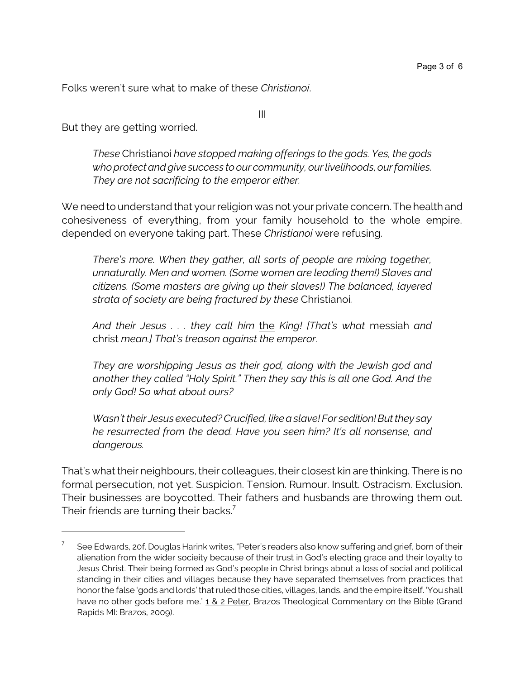Folks weren't sure what to make of these *Christianoi*.

But they are getting worried.

*These* Christianoi *have stopped making offerings to the gods. Yes, the gods who protect and givesuccess to our community, our livelihoods, our families. They are not sacrificing to the emperor either.* 

III

We need to understand that your religion was not your private concern. The health and cohesiveness of everything, from your family household to the whole empire, depended on everyone taking part. These *Christianoi* were refusing.

*There's more. When they gather, all sorts of people are mixing together, unnaturally. Men and women. (Some women are leading them!) Slaves and citizens. (Some masters are giving up their slaves!) The balanced, layered strata of society are being fractured by these* Christianoi*.*

*And their Jesus . . . they call him* the *King! [That's what* messiah *and* christ *mean.] That's treason against the emperor.*

*They are worshipping Jesus as their god, along with the Jewish god and another they called "Holy Spirit." Then they say this is all one God. And the only God! So what about ours?*

*Wasn't their Jesus executed? Crucified, like a slave! For sedition!But they say he resurrected from the dead. Have you seen him? It's all nonsense, and dangerous.*

That's what their neighbours, their colleagues, their closest kin are thinking. There is no formal persecution, not yet. Suspicion. Tension. Rumour. Insult. Ostracism. Exclusion. Their businesses are boycotted. Their fathers and husbands are throwing them out. Their friends are turning their backs.<sup>7</sup>

<sup>7</sup> See Edwards, 20f. Douglas Harink writes, "Peter's readers also know suffering and grief, born of their alienation from the wider socieity because of their trust in God's electing grace and their loyalty to Jesus Christ. Their being formed as God's people in Christ brings about a loss of social and political standing in their cities and villages because they have separated themselves from practices that honor the false 'gods and lords' that ruled those cities, villages, lands, and the empire itself. 'You shall have no other gods before me.' 1 & 2 Peter, Brazos Theological Commentary on the Bible (Grand Rapids MI: Brazos, 2009).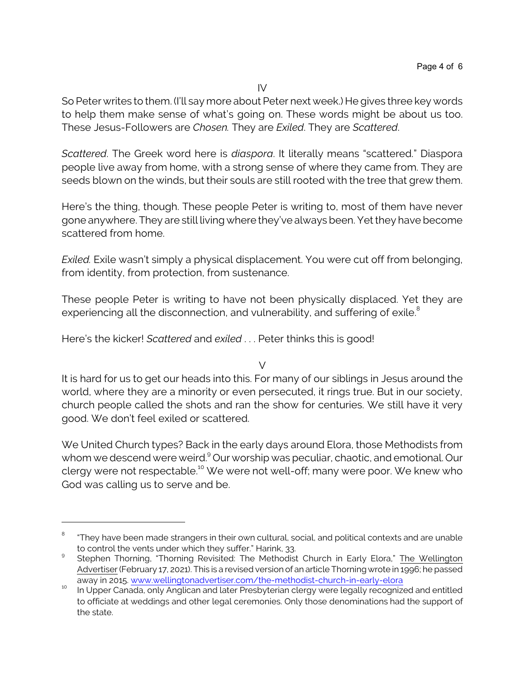IV

So Peter writes to them. (I'll say more about Peter next week.) He gives three key words to help them make sense of what's going on. These words might be about us too. These Jesus-Followers are *Chosen.* They are *Exiled*. They are *Scattered*.

*Scattered*. The Greek word here is *diaspora*. It literally means "scattered." Diaspora people live away from home, with a strong sense of where they came from. They are seeds blown on the winds, but their souls are still rooted with the tree that grew them.

Here's the thing, though. These people Peter is writing to, most of them have never gone anywhere. They are still living where they've always been. Yet they have become scattered from home.

*Exiled.* Exile wasn't simply a physical displacement. You were cut off from belonging, from identity, from protection, from sustenance.

These people Peter is writing to have not been physically displaced. Yet they are experiencing all the disconnection, and vulnerability, and suffering of exile.<sup>8</sup>

Here's the kicker! *Scattered* and *exiled* . . . Peter thinks this is good!

 $\vee$ 

It is hard for us to get our heads into this. For many of our siblings in Jesus around the world, where they are a minority or even persecuted, it rings true. But in our society, church people called the shots and ran the show for centuries. We still have it very good. We don't feel exiled or scattered.

We United Church types? Back in the early days around Elora, those Methodists from whom we descend were weird.<sup>9</sup> Our worship was peculiar, chaotic, and emotional. Our clergy were not respectable.<sup>10</sup> We were not well-off; many were poor. We knew who God was calling us to serve and be.

<sup>8</sup> "They have been made strangers in their own cultural, social, and political contexts and are unable to control the vents under which they suffer." Harink, 33.

<sup>9</sup> Stephen Thorning, "Thorning Revisited: The Methodist Church in Early Elora," The Wellington Advertiser (February 17, 2021). This is a revised version of an article Thorning wrote in 1996; he passed away in 2015. [www.wellingtonadvertiser.com/the-methodist-church-in-early-elora](https://www.wellingtonadvertiser.com/the-methodist-church-in-early-elora/)

<sup>10</sup> In 19, 1992, <u>In Annalis, and the Canada</u>, only Anglican and later Presbyterian clergy were legally recognized and entitled to officiate at weddings and other legal ceremonies. Only those denominations had the support of the state.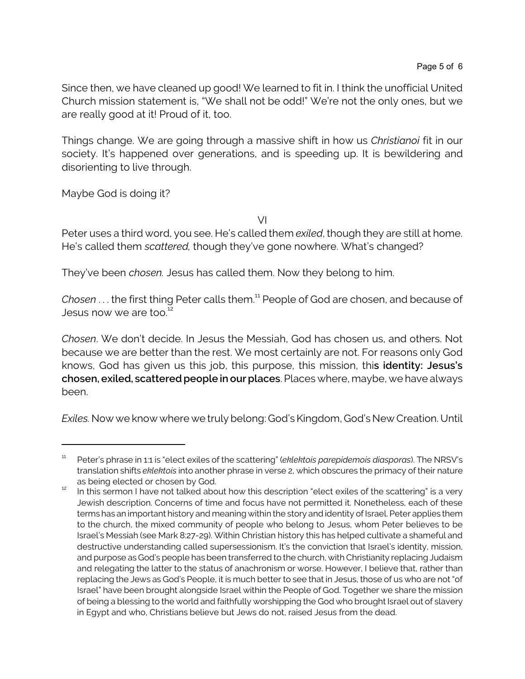Since then, we have cleaned up good! We learned to fit in. I think the unofficial United Church mission statement is, "We shall not be odd!" We're not the only ones, but we are really good at it! Proud of it, too.

Things change. We are going through a massive shift in how us *Christianoi* fit in our society. It's happened over generations, and is speeding up. It is bewildering and disorienting to live through.

Maybe God is doing it?

VI

Peter uses a third word, you see. He's called them *exiled*, though they are still at home. He's called them *scattered,* though they've gone nowhere. What's changed?

They've been *chosen.* Jesus has called them. Now they belong to him.

Chosen . . . the first thing Peter calls them.<sup>11</sup> People of God are chosen, and because of Jesus now we are too.<sup>12</sup>

*Chosen*. We don't decide. In Jesus the Messiah, God has chosen us, and others. Not because we are better than the rest. We most certainly are not. For reasons only God knows, God has given us this job, this purpose, this mission, thi**s identity:** *Jesus's chosen, exiled, scattered people in our places*. Places where, maybe, we have always been.

*Exiles.* Now we know where we truly belong: God's Kingdom, God's New Creation. Until

<sup>11</sup> Peter's phrase in 1:1 is "elect exiles of the scattering" (*eklektois parepidemois diasporas*). The NRSV's translation shifts *eklektois* into another phrase in verse 2, which obscures the primacy of their nature as being elected or chosen by God.

<sup>&</sup>lt;sup>12</sup> In this sermon I have not talked about how this description "elect exiles of the scattering" is a very Jewish description. Concerns of time and focus have not permitted it. Nonetheless, each of these terms has an important history and meaning within the story and identity of Israel. Peter applies them to the church, the mixed community of people who belong to Jesus, whom Peter believes to be Israel's Messiah (see Mark 8:27-29). Within Christian history this has helped cultivate a shameful and destructive understanding called supersessionism. It's the conviction that Israel's identity, mission, and purpose as God's people has been transferred to the church, with Christianity replacing Judaism and relegating the latter to the status of anachronism or worse. However, I believe that, rather than replacing the Jews as God's People, it is much better to see that in Jesus, those of us who are not "of Israel" have been brought alongside Israel within the People of God. Together we share the mission of being a blessing to the world and faithfully worshipping the God who brought Israel out of slavery in Egypt and who, Christians believe but Jews do not, raised Jesus from the dead.